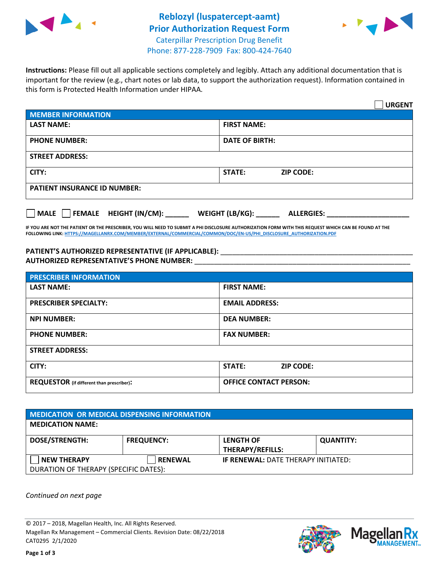



**Instructions:** Please fill out all applicable sections completely and legibly. Attach any additional documentation that is important for the review (e.g., chart notes or lab data, to support the authorization request). Information contained in this form is Protected Health Information under HIPAA.

|                                                | <b>URGENT</b>                        |  |  |  |
|------------------------------------------------|--------------------------------------|--|--|--|
| <b>MEMBER INFORMATION</b>                      |                                      |  |  |  |
| <b>LAST NAME:</b>                              | <b>FIRST NAME:</b>                   |  |  |  |
| <b>PHONE NUMBER:</b>                           | <b>DATE OF BIRTH:</b>                |  |  |  |
| <b>STREET ADDRESS:</b>                         |                                      |  |  |  |
| CITY:                                          | <b>STATE:</b><br><b>ZIP CODE:</b>    |  |  |  |
| <b>PATIENT INSURANCE ID NUMBER:</b>            |                                      |  |  |  |
| $\Box$ FEMALE HEIGHT (IN/CM): _<br><b>MALE</b> | WEIGHT (LB/KG):<br><b>ALLERGIES:</b> |  |  |  |

**IF YOU ARE NOT THE PATIENT OR THE PRESCRIBER, YOU WILL NEED TO SUBMIT A PHI DISCLOSURE AUTHORIZATION FORM WITH THIS REQUEST WHICH CAN BE FOUND AT THE FOLLOWING LINK[: HTTPS://MAGELLANRX.COM/MEMBER/EXTERNAL/COMMERCIAL/COMMON/DOC/EN-US/PHI\\_DISCLOSURE\\_AUTHORIZATION.PDF](https://magellanrx.com/member/external/commercial/common/doc/en-us/PHI_Disclosure_Authorization.pdf)**

PATIENT'S AUTHORIZED REPRESENTATIVE (IF APPLICABLE): \_\_\_\_\_\_\_\_\_\_\_\_\_\_\_\_\_\_\_\_\_\_\_\_\_\_\_ **AUTHORIZED REPRESENTATIVE'S PHONE NUMBER:** \_\_\_\_\_\_\_\_\_\_\_\_\_\_\_\_\_\_\_\_\_\_\_\_\_\_\_\_\_\_\_\_\_\_\_\_\_\_\_\_\_\_\_\_\_\_\_\_\_\_\_\_\_\_\_

| <b>PRESCRIBER INFORMATION</b>             |                               |  |  |  |
|-------------------------------------------|-------------------------------|--|--|--|
| <b>LAST NAME:</b>                         | <b>FIRST NAME:</b>            |  |  |  |
| <b>PRESCRIBER SPECIALTY:</b>              | <b>EMAIL ADDRESS:</b>         |  |  |  |
| <b>NPI NUMBER:</b>                        | <b>DEA NUMBER:</b>            |  |  |  |
| <b>PHONE NUMBER:</b>                      | <b>FAX NUMBER:</b>            |  |  |  |
| <b>STREET ADDRESS:</b>                    |                               |  |  |  |
| CITY:                                     | STATE:<br><b>ZIP CODE:</b>    |  |  |  |
| REQUESTOR (if different than prescriber): | <b>OFFICE CONTACT PERSON:</b> |  |  |  |

| <b>MEDICATION OR MEDICAL DISPENSING INFORMATION</b> |                   |                                            |                  |  |  |
|-----------------------------------------------------|-------------------|--------------------------------------------|------------------|--|--|
| <b>MEDICATION NAME:</b>                             |                   |                                            |                  |  |  |
| <b>DOSE/STRENGTH:</b>                               | <b>FREQUENCY:</b> | <b>LENGTH OF</b>                           | <b>QUANTITY:</b> |  |  |
|                                                     |                   | <b>THERAPY/REFILLS:</b>                    |                  |  |  |
| <b>NEW THERAPY</b>                                  | <b>RENEWAL</b>    | <b>IF RENEWAL: DATE THERAPY INITIATED:</b> |                  |  |  |
| DURATION OF THERAPY (SPECIFIC DATES):               |                   |                                            |                  |  |  |

*Continued on next page*

© 2017 – 2018, Magellan Health, Inc. All Rights Reserved. Magellan Rx Management – Commercial Clients. Revision Date: 08/22/2018 CAT0295 2/1/2020



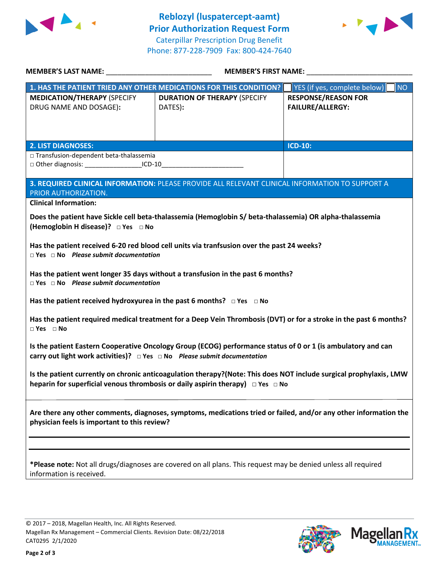



| MEMBER'S LAST NAME: NAME:                                                                                                                                                                          | <b>MEMBER'S FIRST NAME:</b>                                                                                       |                                    |  |  |
|----------------------------------------------------------------------------------------------------------------------------------------------------------------------------------------------------|-------------------------------------------------------------------------------------------------------------------|------------------------------------|--|--|
|                                                                                                                                                                                                    | 1. HAS THE PATIENT TRIED ANY OTHER MEDICATIONS FOR THIS CONDITION?                                                | YES (if yes, complete below)<br>NO |  |  |
| <b>MEDICATION/THERAPY (SPECIFY</b>                                                                                                                                                                 | <b>DURATION OF THERAPY (SPECIFY</b>                                                                               | <b>RESPONSE/REASON FOR</b>         |  |  |
| DRUG NAME AND DOSAGE):                                                                                                                                                                             | DATES):                                                                                                           | <b>FAILURE/ALLERGY:</b>            |  |  |
|                                                                                                                                                                                                    |                                                                                                                   |                                    |  |  |
|                                                                                                                                                                                                    |                                                                                                                   |                                    |  |  |
| <b>2. LIST DIAGNOSES:</b>                                                                                                                                                                          |                                                                                                                   | <b>ICD-10:</b>                     |  |  |
| □ Transfusion-dependent beta-thalassemia<br>□ Other diagnosis: _____________________ICD-10_________________________________                                                                        |                                                                                                                   |                                    |  |  |
|                                                                                                                                                                                                    |                                                                                                                   |                                    |  |  |
|                                                                                                                                                                                                    | 3. REQUIRED CLINICAL INFORMATION: PLEASE PROVIDE ALL RELEVANT CLINICAL INFORMATION TO SUPPORT A                   |                                    |  |  |
| PRIOR AUTHORIZATION.                                                                                                                                                                               |                                                                                                                   |                                    |  |  |
| <b>Clinical Information:</b>                                                                                                                                                                       |                                                                                                                   |                                    |  |  |
|                                                                                                                                                                                                    | Does the patient have Sickle cell beta-thalassemia (Hemoglobin S/ beta-thalassemia) OR alpha-thalassemia          |                                    |  |  |
| (Hemoglobin H disease)? □ Yes □ No                                                                                                                                                                 |                                                                                                                   |                                    |  |  |
|                                                                                                                                                                                                    | Has the patient received 6-20 red blood cell units via tranfsusion over the past 24 weeks?                        |                                    |  |  |
| $\Box$ Yes $\Box$ No Please submit documentation                                                                                                                                                   |                                                                                                                   |                                    |  |  |
|                                                                                                                                                                                                    | Has the patient went longer 35 days without a transfusion in the past 6 months?                                   |                                    |  |  |
| $\Box$ Yes $\Box$ No Please submit documentation                                                                                                                                                   |                                                                                                                   |                                    |  |  |
|                                                                                                                                                                                                    |                                                                                                                   |                                    |  |  |
| Has the patient received hydroxyurea in the past 6 months? $\Box$ Yes $\Box$ No                                                                                                                    |                                                                                                                   |                                    |  |  |
| $\square$ Yes $\square$ No                                                                                                                                                                         | Has the patient required medical treatment for a Deep Vein Thrombosis (DVT) or for a stroke in the past 6 months? |                                    |  |  |
|                                                                                                                                                                                                    |                                                                                                                   |                                    |  |  |
| Is the patient Eastern Cooperative Oncology Group (ECOG) performance status of 0 or 1 (is ambulatory and can<br>carry out light work activities)? $\Box$ Yes $\Box$ No Please submit documentation |                                                                                                                   |                                    |  |  |
|                                                                                                                                                                                                    |                                                                                                                   |                                    |  |  |
| Is the patient currently on chronic anticoagulation therapy?(Note: This does NOT include surgical prophylaxis, LMW                                                                                 |                                                                                                                   |                                    |  |  |
| heparin for superficial venous thrombosis or daily aspirin therapy) $\Box$ Yes $\Box$ No                                                                                                           |                                                                                                                   |                                    |  |  |
|                                                                                                                                                                                                    |                                                                                                                   |                                    |  |  |
| Are there any other comments, diagnoses, symptoms, medications tried or failed, and/or any other information the                                                                                   |                                                                                                                   |                                    |  |  |
| physician feels is important to this review?                                                                                                                                                       |                                                                                                                   |                                    |  |  |
|                                                                                                                                                                                                    |                                                                                                                   |                                    |  |  |
|                                                                                                                                                                                                    |                                                                                                                   |                                    |  |  |
| *Please note: Not all drugs/diagnoses are covered on all plans. This request may be denied unless all required                                                                                     |                                                                                                                   |                                    |  |  |
| information is received.                                                                                                                                                                           |                                                                                                                   |                                    |  |  |
|                                                                                                                                                                                                    |                                                                                                                   |                                    |  |  |
|                                                                                                                                                                                                    |                                                                                                                   |                                    |  |  |